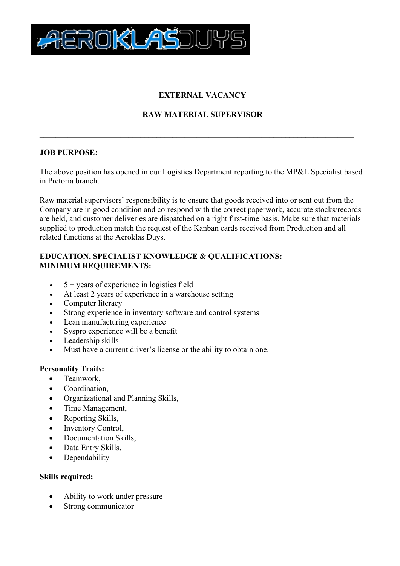

# **EXTERNAL VACANCY**

**\_\_\_\_\_\_\_\_\_\_\_\_\_\_\_\_\_\_\_\_\_\_\_\_\_\_\_\_\_\_\_\_\_\_\_\_\_\_\_\_\_\_\_\_\_\_\_\_\_\_\_\_\_\_\_\_\_\_\_\_\_\_\_\_\_\_\_\_\_\_\_\_\_\_\_\_\_**

# **RAW MATERIAL SUPERVISOR**

**\_\_\_\_\_\_\_\_\_\_\_\_\_\_\_\_\_\_\_\_\_\_\_\_\_\_\_\_\_\_\_\_\_\_\_\_\_\_\_\_\_\_\_\_\_\_\_\_\_\_\_\_\_\_\_\_\_\_\_\_\_\_\_\_\_\_\_\_\_\_\_\_\_\_\_\_\_\_**

## **JOB PURPOSE:**

The above position has opened in our Logistics Department reporting to the MP&L Specialist based in Pretoria branch.

Raw material supervisors' responsibility is to ensure that goods received into or sent out from the Company are in good condition and correspond with the correct paperwork, accurate stocks/records are held, and customer deliveries are dispatched on a right first-time basis. Make sure that materials supplied to production match the request of the Kanban cards received from Production and all related functions at the Aeroklas Duys.

## **EDUCATION, SPECIALIST KNOWLEDGE & QUALIFICATIONS: MINIMUM REQUIREMENTS:**

- $\bullet$  5 + years of experience in logistics field
- At least 2 years of experience in a warehouse setting
- Computer literacy
- Strong experience in inventory software and control systems
- Lean manufacturing experience
- Syspro experience will be a benefit
- Leadership skills
- Must have a current driver's license or the ability to obtain one.

## **Personality Traits:**

- Teamwork,
- Coordination,
- Organizational and Planning Skills,
- Time Management,
- Reporting Skills,
- Inventory Control,
- Documentation Skills,
- Data Entry Skills,
- Dependability

### **Skills required:**

- Ability to work under pressure
- Strong communicator